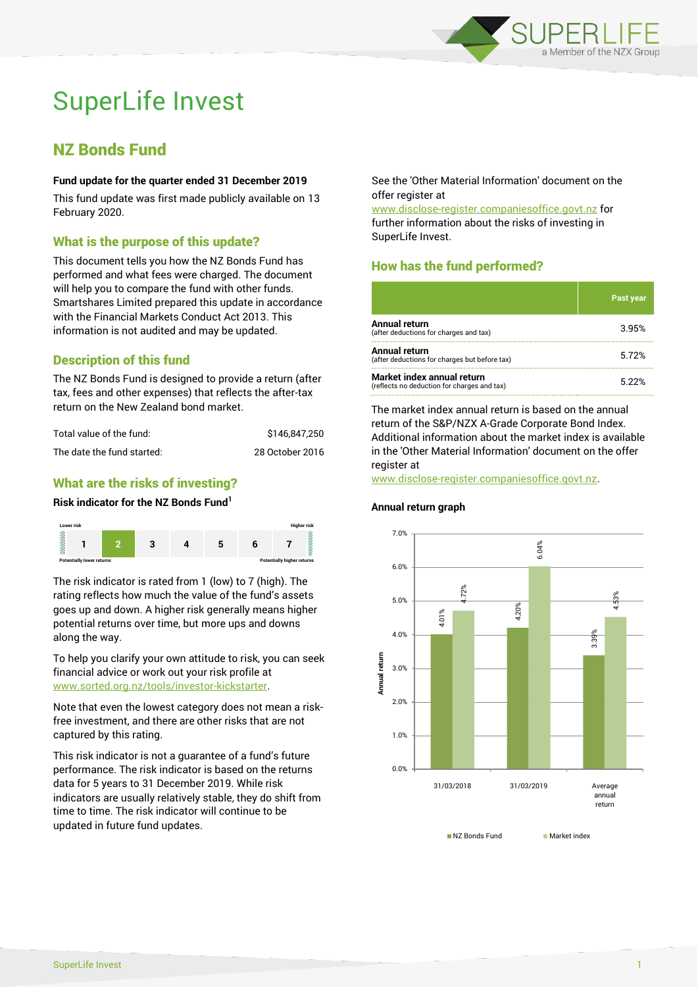

# SuperLife Invest

### NZ Bonds Fund

#### **Fund update for the quarter ended 31 December 2019**

This fund update was first made publicly available on 13 February 2020.

#### What is the purpose of this update?

This document tells you how the NZ Bonds Fund has performed and what fees were charged. The document will help you to compare the fund with other funds. Smartshares Limited prepared this update in accordance with the Financial Markets Conduct Act 2013. This information is not audited and may be updated.

#### Description of this fund

The NZ Bonds Fund is designed to provide a return (after tax, fees and other expenses) that reflects the after-tax return on the New Zealand bond market.

| Total value of the fund:   | \$146.847.250   |
|----------------------------|-----------------|
| The date the fund started: | 28 October 2016 |

#### What are the risks of investing?

#### **Risk indicator for the NZ Bonds Fund<sup>1</sup>**



The risk indicator is rated from 1 (low) to 7 (high). The rating reflects how much the value of the fund's assets goes up and down. A higher risk generally means higher potential returns over time, but more ups and downs along the way.

To help you clarify your own attitude to risk, you can seek financial advice or work out your risk profile at [www.sorted.org.nz/tools/investor-kickstarter.](http://www.sorted.org.nz/tools/investor-kickstarter)

Note that even the lowest category does not mean a riskfree investment, and there are other risks that are not captured by this rating.

This risk indicator is not a guarantee of a fund's future performance. The risk indicator is based on the returns data for 5 years to 31 December 2019. While risk indicators are usually relatively stable, they do shift from time to time. The risk indicator will continue to be updated in future fund updates.

See the 'Other Material Information' document on the offer register at

www.disclose-register.companiesoffice.govt.nz for further information about the risks of investing in SuperLife Invest.

#### How has the fund performed?

|                                                                           | <b>Past year</b> |
|---------------------------------------------------------------------------|------------------|
| <b>Annual return</b><br>(after deductions for charges and tax)            | 3.95%            |
| Annual return<br>(after deductions for charges but before tax)            | 5.72%            |
| Market index annual return<br>(reflects no deduction for charges and tax) | 5.22%            |

The market index annual return is based on the annual return of the S&P/NZX A-Grade Corporate Bond Index. Additional information about the market index is available in the 'Other Material Information' document on the offer register at

www.disclose-register.companiesoffice.govt.nz.

## **Annual return graph**



NZ Bonds Fund Market index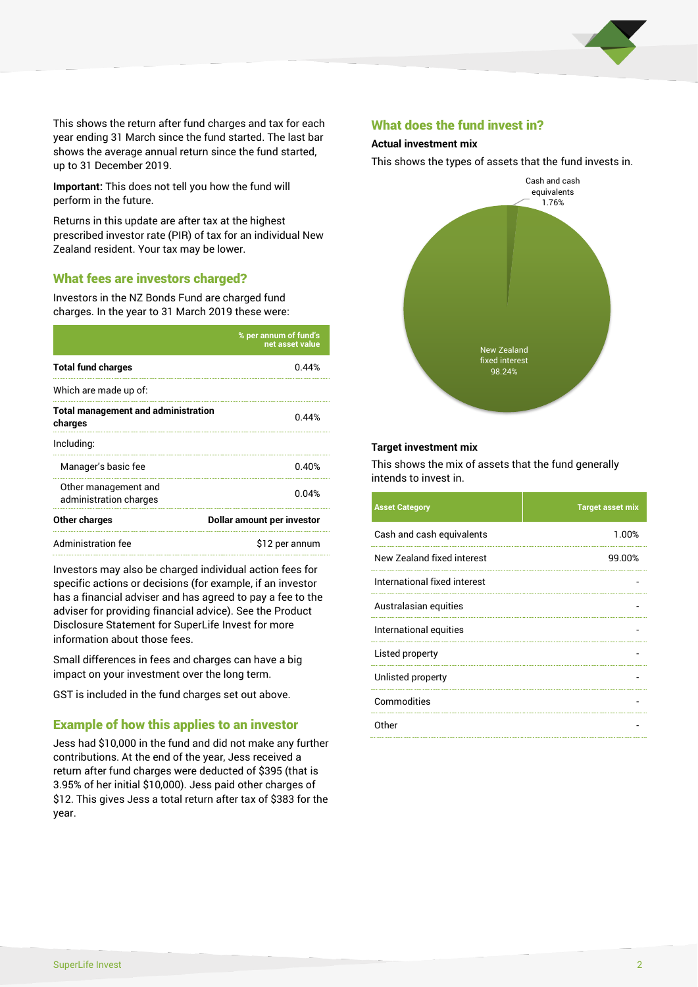

This shows the return after fund charges and tax for each year ending 31 March since the fund started. The last bar shows the average annual return since the fund started, up to 31 December 2019.

**Important:** This does not tell you how the fund will perform in the future.

Returns in this update are after tax at the highest prescribed investor rate (PIR) of tax for an individual New Zealand resident. Your tax may be lower.

#### What fees are investors charged?

Investors in the NZ Bonds Fund are charged fund charges. In the year to 31 March 2019 these were:

|                                                       | % per annum of fund's<br>net asset value |  |
|-------------------------------------------------------|------------------------------------------|--|
| <b>Total fund charges</b>                             | 0.44%                                    |  |
| Which are made up of:                                 |                                          |  |
| <b>Total management and administration</b><br>charges | 0.44%                                    |  |
| Including:                                            |                                          |  |
| Manager's basic fee                                   | 0.40%                                    |  |
| Other management and<br>administration charges        | 0.04%                                    |  |
| Other charges                                         | Dollar amount per investor               |  |
| Administration fee                                    | \$12 per annum                           |  |

Investors may also be charged individual action fees for specific actions or decisions (for example, if an investor has a financial adviser and has agreed to pay a fee to the adviser for providing financial advice). See the Product Disclosure Statement for SuperLife Invest for more information about those fees.

Small differences in fees and charges can have a big impact on your investment over the long term.

GST is included in the fund charges set out above.

#### Example of how this applies to an investor

Jess had \$10,000 in the fund and did not make any further contributions. At the end of the year, Jess received a return after fund charges were deducted of \$395 (that is 3.95% of her initial \$10,000). Jess paid other charges of \$12. This gives Jess a total return after tax of \$383 for the year.

#### What does the fund invest in?

#### **Actual investment mix**

This shows the types of assets that the fund invests in.



#### **Target investment mix**

This shows the mix of assets that the fund generally intends to invest in.

| <b>Asset Category</b>        | <b>Target asset mix</b> |
|------------------------------|-------------------------|
| Cash and cash equivalents    | 1.00%                   |
| New Zealand fixed interest   | 99.00%                  |
| International fixed interest |                         |
| Australasian equities        |                         |
| International equities       |                         |
| Listed property              |                         |
| Unlisted property            |                         |
| Commodities                  |                         |
| Other                        |                         |